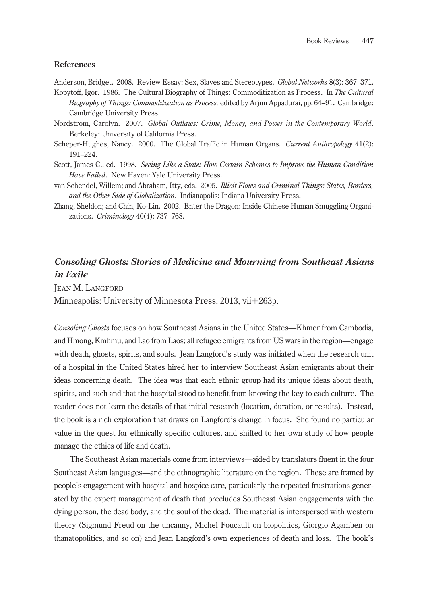## **References**

Anderson, Bridget. 2008. Review Essay: Sex, Slaves and Stereotypes. *Global Networks* 8(3): 367–371.

- Kopytoff, Igor. 1986. The Cultural Biography of Things: Commoditization as Process. In *The Cultural Biography of Things: Commoditization as Process,* edited by Arjun Appadurai, pp. 64–91. Cambridge: Cambridge University Press.
- Nordstrom, Carolyn. 2007. *Global Outlaws: Crime, Money, and Power in the Contemporary World*. Berkeley: University of California Press.
- Scheper-Hughes, Nancy. 2000. The Global Traffic in Human Organs. *Current Anthropology* 41(2): 191–224.
- Scott, James C., ed. 1998. *Seeing Like a State: How Certain Schemes to Improve the Human Condition Have Failed*. New Haven: Yale University Press.
- van Schendel, Willem; and Abraham, Itty, eds. 2005. *Illicit Flows and Criminal Things: States, Borders, and the Other Side of Globalization*. Indianapolis: Indiana University Press.
- Zhang, Sheldon; and Chin, Ko-Lin. 2002. Enter the Dragon: Inside Chinese Human Smuggling Organizations. *Criminology* 40(4): 737–768.

## *Consoling Ghosts: Stories of Medicine and Mourning from Southeast Asians in Exile*

Jean M. Langford

Minneapolis: University of Minnesota Press, 2013, vii+263p.

*Consoling Ghosts* focuses on how Southeast Asians in the United States—Khmer from Cambodia, and Hmong, Kmhmu, and Lao from Laos; all refugee emigrants from US wars in the region—engage with death, ghosts, spirits, and souls. Jean Langford's study was initiated when the research unit of a hospital in the United States hired her to interview Southeast Asian emigrants about their ideas concerning death. The idea was that each ethnic group had its unique ideas about death, spirits, and such and that the hospital stood to benefit from knowing the key to each culture. The reader does not learn the details of that initial research (location, duration, or results). Instead, the book is a rich exploration that draws on Langford's change in focus. She found no particular value in the quest for ethnically specific cultures, and shifted to her own study of how people manage the ethics of life and death.

The Southeast Asian materials come from interviews—aided by translators fluent in the four Southeast Asian languages—and the ethnographic literature on the region. These are framed by people's engagement with hospital and hospice care, particularly the repeated frustrations generated by the expert management of death that precludes Southeast Asian engagements with the dying person, the dead body, and the soul of the dead. The material is interspersed with western theory (Sigmund Freud on the uncanny, Michel Foucault on biopolitics, Giorgio Agamben on thanatopolitics, and so on) and Jean Langford's own experiences of death and loss. The book's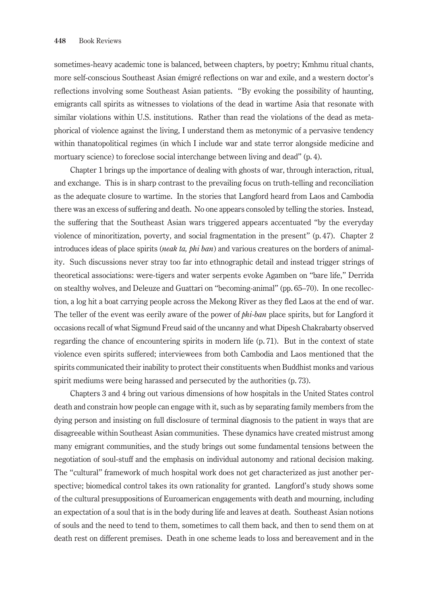sometimes-heavy academic tone is balanced, between chapters, by poetry; Kmhmu ritual chants, more self-conscious Southeast Asian émigré reflections on war and exile, and a western doctor's reflections involving some Southeast Asian patients. "By evoking the possibility of haunting, emigrants call spirits as witnesses to violations of the dead in wartime Asia that resonate with similar violations within U.S. institutions. Rather than read the violations of the dead as metaphorical of violence against the living, I understand them as metonymic of a pervasive tendency within thanatopolitical regimes (in which I include war and state terror alongside medicine and mortuary science) to foreclose social interchange between living and dead" (p. 4).

Chapter 1 brings up the importance of dealing with ghosts of war, through interaction, ritual, and exchange. This is in sharp contrast to the prevailing focus on truth-telling and reconciliation as the adequate closure to wartime. In the stories that Langford heard from Laos and Cambodia there was an excess of suffering and death. No one appears consoled by telling the stories. Instead, the suffering that the Southeast Asian wars triggered appears accentuated "by the everyday violence of minoritization, poverty, and social fragmentation in the present" (p. 47). Chapter 2 introduces ideas of place spirits (*neak ta, phi ban*) and various creatures on the borders of animality. Such discussions never stray too far into ethnographic detail and instead trigger strings of theoretical associations: were-tigers and water serpents evoke Agamben on "bare life," Derrida on stealthy wolves, and Deleuze and Guattari on "becoming-animal" (pp. 65–70). In one recollection, a log hit a boat carrying people across the Mekong River as they fled Laos at the end of war. The teller of the event was eerily aware of the power of *phi-ban* place spirits, but for Langford it occasions recall of what Sigmund Freud said of the uncanny and what Dipesh Chakrabarty observed regarding the chance of encountering spirits in modern life (p. 71). But in the context of state violence even spirits suffered; interviewees from both Cambodia and Laos mentioned that the spirits communicated their inability to protect their constituents when Buddhist monks and various spirit mediums were being harassed and persecuted by the authorities (p. 73).

Chapters 3 and 4 bring out various dimensions of how hospitals in the United States control death and constrain how people can engage with it, such as by separating family members from the dying person and insisting on full disclosure of terminal diagnosis to the patient in ways that are disagreeable within Southeast Asian communities. These dynamics have created mistrust among many emigrant communities, and the study brings out some fundamental tensions between the negotiation of soul-stuff and the emphasis on individual autonomy and rational decision making. The "cultural" framework of much hospital work does not get characterized as just another perspective; biomedical control takes its own rationality for granted. Langford's study shows some of the cultural presuppositions of Euroamerican engagements with death and mourning, including an expectation of a soul that is in the body during life and leaves at death. Southeast Asian notions of souls and the need to tend to them, sometimes to call them back, and then to send them on at death rest on different premises. Death in one scheme leads to loss and bereavement and in the